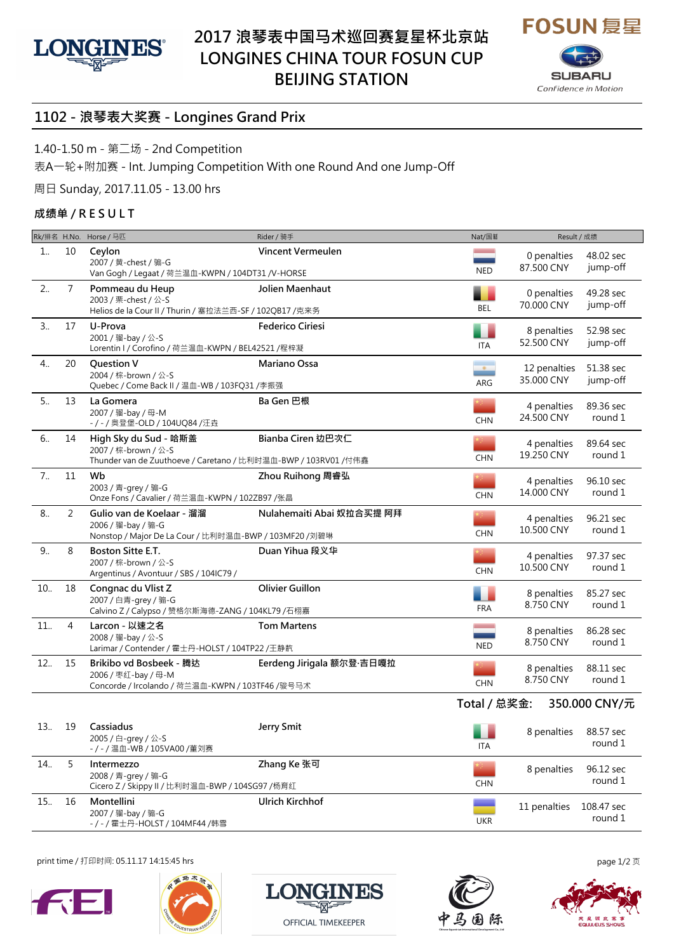



## **1102 - 浪琴表大奖赛 - Longines Grand Prix**

1.40-1.50 m - 第二场 - 2nd Competition

表A一轮+附加赛 - Int. Jumping Competition With one Round And one Jump-Off

周日 Sunday, 2017.11.05 - 13.00 hrs

## **成绩单 / R E S U L T**

|                |                | Rk/排名 H.No. Horse / 马匹                                                                                          | Rider / 骑手                | Nat/国籍                                 | Result / 成绩                |                       |
|----------------|----------------|-----------------------------------------------------------------------------------------------------------------|---------------------------|----------------------------------------|----------------------------|-----------------------|
| 1              | 10             | Ceylon<br>2007 / 黄-chest / 骟-G<br>Van Gogh / Legaat / 荷兰温血-KWPN / 104DT31 /V-HORSE                              | Vincent Vermeulen         | <b>NED</b>                             | 0 penalties<br>87.500 CNY  | 48.02 sec<br>jump-off |
| 2              | $\overline{7}$ | Pommeau du Heup<br>2003 / 栗-chest / 公-S<br>Helios de la Cour II / Thurin / 塞拉法兰西-SF / 102QB17 /克来务              | Jolien Maenhaut           | BEL                                    | 0 penalties<br>70.000 CNY  | 49.28 sec<br>jump-off |
| 3              | 17             | U-Prova<br>2001 / 骝-bay / 公-S<br>Lorentin I / Corofino / 荷兰温血-KWPN / BEL42521 /程梓凝                              | <b>Federico Ciriesi</b>   | ITA                                    | 8 penalties<br>52.500 CNY  | 52.98 sec<br>jump-off |
| 4              | 20             | <b>Question V</b><br>2004 / 棕-brown / 公-S<br>Quebec / Come Back II / 温血-WB / 103FQ31 /李振强                       | Mariano Ossa              | ARG                                    | 12 penalties<br>35.000 CNY | 51.38 sec<br>jump-off |
| 5              | 13             | La Gomera<br>2007 / 骝-bay / 母-M<br>-/-/奥登堡-OLD/104UQ84/汪垚                                                       | Ba Gen 巴根                 | <b>CHN</b>                             | 4 penalties<br>24.500 CNY  | 89.36 sec<br>round 1  |
| 6              | 14             | High Sky du Sud - 哈斯盖<br>2007 / 棕-brown / 公-S<br>Thunder van de Zuuthoeve / Caretano / 比利时温血-BWP / 103RV01 /付伟鑫 | Bianba Ciren 边巴次仁         | <b>CHN</b>                             | 4 penalties<br>19.250 CNY  | 89.64 sec<br>round 1  |
| 7 <sub>1</sub> | 11             | Wb<br>2003 / 青-grey / 骟-G<br>Onze Fons / Cavalier / 荷兰温血-KWPN / 102ZB97 /张晶                                     | Zhou Ruihong 周睿弘          | <b>CHN</b>                             | 4 penalties<br>14.000 CNY  | 96.10 sec<br>round 1  |
| 8              | 2              | Gulio van de Koelaar - 溜溜<br>2006 / 骝-bay / 骟-G<br>Nonstop / Major De La Cour / 比利时温血-BWP / 103MF20 /刘碧琳        | Nulahemaiti Abai 奴拉合买提 阿拜 | <b>CHN</b>                             | 4 penalties<br>10.500 CNY  | 96.21 sec<br>round 1  |
| 9              | 8              | Boston Sitte E.T.<br>2007 / 棕-brown / 公-S<br>Argentinus / Avontuur / SBS / 104IC79 /                            | Duan Yihua 段义华            | <b>CHN</b>                             | 4 penalties<br>10.500 CNY  | 97.37 sec<br>round 1  |
| 10.            | 18             | Congnac du Vlist Z<br>2007 / 白青-grey / 骟-G<br>Calvino Z / Calypso / 赞格尔斯海德-ZANG / 104KL79 /石栩嘉                  | Olivier Guillon           | <b>FRA</b>                             | 8 penalties<br>8.750 CNY   | 85.27 sec<br>round 1  |
| 11.            | 4              | Larcon - 以速之名<br>2008 / 骝-bay / 公-S<br>Larimar / Contender / 霍士丹-HOLST / 104TP22 /王静靔                           | <b>Tom Martens</b>        | <b>Contract Contract</b><br><b>NED</b> | 8 penalties<br>8.750 CNY   | 86.28 sec<br>round 1  |
| 12.            | 15             | Brikibo vd Bosbeek - 腾达<br>2006 / 枣红-bay / 母-M<br>Concorde / Ircolando / 荷兰温血-KWPN / 103TF46 /骏号马术              | Eerdeng Jirigala 额尔登·吉日嘎拉 | <b>CHN</b>                             | 8 penalties<br>8.750 CNY   | 88.11 sec<br>round 1  |
|                |                |                                                                                                                 |                           | Total / 总奖金:                           |                            | 350.000 CNY/元         |
| 13             | 19             | Cassiadus<br>2005 / 白-grey / 公-S<br>- / - / 温血-WB / 105VA00 /董刘赛                                                | Jerry Smit                | ITA                                    | 8 penalties                | 88.57 sec<br>round 1  |
| 14.            | 5              | Intermezzo<br>2008 / 青-grey / 骟-G<br>Cicero Z / Skippy II / 比利时温血-BWP / 104SG97 /杨育红                            | Zhang Ke 张可               | <b>CHN</b>                             | 8 penalties                | 96.12 sec<br>round 1  |
| 15.            | 16             | Montellini<br>2007 / 骝-bay / 骟-G<br>-/-/霍士丹-HOLST / 104MF44 /韩雪                                                 | Ulrich Kirchhof           | <b>UKR</b>                             | 11 penalties               | 108.47 sec<br>round 1 |

print time / 打印时间: 05.11.17 14:15:45 hrs page 1/2 页